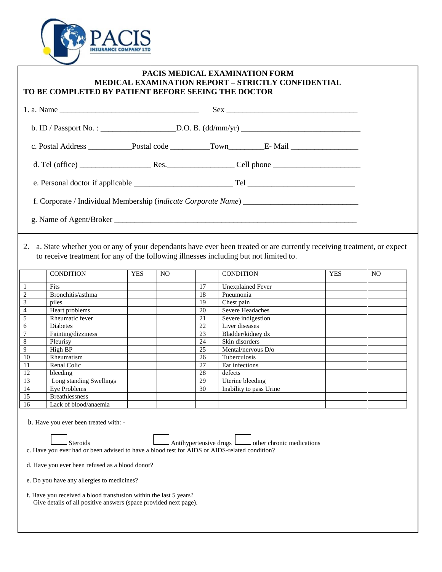

## **PACIS MEDICAL EXAMINATION FORM MEDICAL EXAMINATION REPORT – STRICTLY CONFIDENTIAL TO BE COMPLETED BY PATIENT BEFORE SEEING THE DOCTOR**

2. a. State whether you or any of your dependants have ever been treated or are currently receiving treatment, or expect to receive treatment for any of the following illnesses including but not limited to.

|                | <b>CONDITION</b>        | <b>YES</b> | N <sub>O</sub> |    | <b>CONDITION</b>         | <b>YES</b> | N <sub>O</sub> |
|----------------|-------------------------|------------|----------------|----|--------------------------|------------|----------------|
|                | Fits                    |            |                | 17 | <b>Unexplained Fever</b> |            |                |
| $\overline{2}$ | Bronchitis/asthma       |            |                | 18 | Pneumonia                |            |                |
| 3              | piles                   |            |                | 19 | Chest pain               |            |                |
| 4              | Heart problems          |            |                | 20 | Severe Headaches         |            |                |
| 5              | Rheumatic fever         |            |                | 21 | Severe indigestion       |            |                |
| 6              | Diabetes                |            |                | 22 | Liver diseases           |            |                |
|                | Fainting/dizziness      |            |                | 23 | Bladder/kidney dx        |            |                |
| 8              | Pleurisy                |            |                | 24 | Skin disorders           |            |                |
| 9              | High BP                 |            |                | 25 | Mental/nervous D/o       |            |                |
| 10             | Rheumatism              |            |                | 26 | Tuberculosis             |            |                |
| 11             | Renal Colic             |            |                | 27 | Ear infections           |            |                |
| 12             | bleeding                |            |                | 28 | defects                  |            |                |
| 13             | Long standing Swellings |            |                | 29 | Uterine bleeding         |            |                |
| 14             | Eye Problems            |            |                | 30 | Inability to pass Urine  |            |                |
| 15             | <b>Breathlessness</b>   |            |                |    |                          |            |                |
| 16             | Lack of blood/anaemia   |            |                |    |                          |            |                |

b. Have you ever been treated with: -

Steroids **Antihypertensive drugs** determine medications **C** c. Have you ever had or been advised to have a blood test for AIDS or AIDS-related condition?

d. Have you ever been refused as a blood donor?

e. Do you have any allergies to medicines?

 f. Have you received a blood transfusion within the last 5 years? Give details of all positive answers (space provided next page).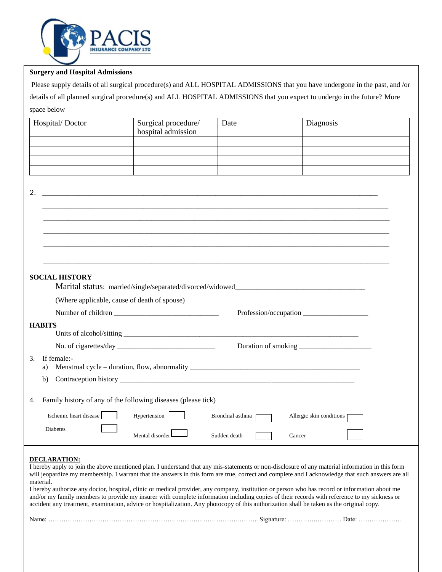

## **Surgery and Hospital Admissions**

Please supply details of all surgical procedure(s) and ALL HOSPITAL ADMISSIONS that you have undergone in the past, and /or details of all planned surgical procedure(s) and ALL HOSPITAL ADMISSIONS that you expect to undergo in the future? More space below

| Hospital/Doctor         | Surgical procedure/<br>hospital admission                                                                                                | Date               | Diagnosis                                                                                                                                                                                                                                                                                     |
|-------------------------|------------------------------------------------------------------------------------------------------------------------------------------|--------------------|-----------------------------------------------------------------------------------------------------------------------------------------------------------------------------------------------------------------------------------------------------------------------------------------------|
|                         |                                                                                                                                          |                    |                                                                                                                                                                                                                                                                                               |
|                         |                                                                                                                                          |                    |                                                                                                                                                                                                                                                                                               |
|                         |                                                                                                                                          |                    |                                                                                                                                                                                                                                                                                               |
| 2.                      | <u> 1989 - Johann Stoff, deutscher Stoff, der Stoff, der Stoff, der Stoff, der Stoff, der Stoff, der Stoff, der S</u>                    |                    |                                                                                                                                                                                                                                                                                               |
|                         |                                                                                                                                          |                    |                                                                                                                                                                                                                                                                                               |
|                         |                                                                                                                                          |                    |                                                                                                                                                                                                                                                                                               |
|                         |                                                                                                                                          |                    |                                                                                                                                                                                                                                                                                               |
|                         |                                                                                                                                          |                    |                                                                                                                                                                                                                                                                                               |
|                         |                                                                                                                                          |                    |                                                                                                                                                                                                                                                                                               |
| <b>SOCIAL HISTORY</b>   |                                                                                                                                          |                    |                                                                                                                                                                                                                                                                                               |
|                         | Marital status: married/single/separated/divorced/widowed________________________                                                        |                    |                                                                                                                                                                                                                                                                                               |
|                         | (Where applicable, cause of death of spouse)                                                                                             |                    |                                                                                                                                                                                                                                                                                               |
|                         |                                                                                                                                          |                    | Profession/occupation                                                                                                                                                                                                                                                                         |
| <b>HABITS</b>           |                                                                                                                                          |                    |                                                                                                                                                                                                                                                                                               |
|                         |                                                                                                                                          |                    |                                                                                                                                                                                                                                                                                               |
|                         |                                                                                                                                          |                    |                                                                                                                                                                                                                                                                                               |
| If female:-<br>3.<br>a) | Menstrual cycle – duration, flow, abnormality ___________________________________                                                        |                    |                                                                                                                                                                                                                                                                                               |
| b)                      |                                                                                                                                          |                    |                                                                                                                                                                                                                                                                                               |
| 4.                      | Family history of any of the following diseases (please tick)                                                                            |                    |                                                                                                                                                                                                                                                                                               |
|                         |                                                                                                                                          |                    |                                                                                                                                                                                                                                                                                               |
| Ischemic heart disease  | Hypertension                                                                                                                             | Bronchial asthma [ | Allergic skin conditions [                                                                                                                                                                                                                                                                    |
| Diabetes                | Mental disorder                                                                                                                          | Sudden death       | Cancer                                                                                                                                                                                                                                                                                        |
| <b>DECLARATION:</b>     |                                                                                                                                          |                    | I hereby apply to join the above mentioned plan. I understand that any mis-statements or non-disclosure of any material information in this form                                                                                                                                              |
|                         |                                                                                                                                          |                    | will jeopardize my membership. I warrant that the answers in this form are true, correct and complete and I acknowledge that such answers are all                                                                                                                                             |
| material.               | accident any treatment, examination, advice or hospitalization. Any photocopy of this authorization shall be taken as the original copy. |                    | I hereby authorize any doctor, hospital, clinic or medical provider, any company, institution or person who has record or information about me<br>and/or my family members to provide my insurer with complete information including copies of their records with reference to my sickness or |
|                         |                                                                                                                                          |                    |                                                                                                                                                                                                                                                                                               |
|                         |                                                                                                                                          |                    |                                                                                                                                                                                                                                                                                               |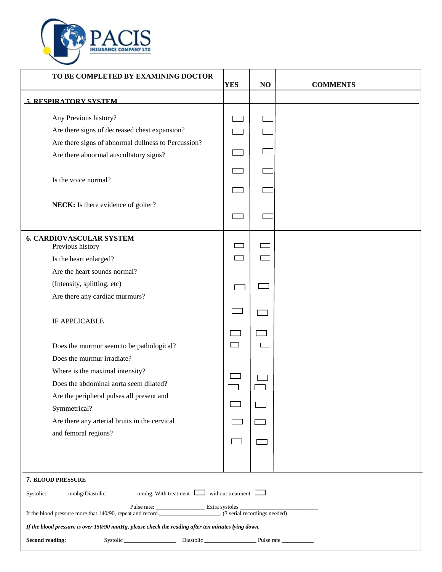

| TO BE COMPLETED BY EXAMINING DOCTOR                                                                 | <b>YES</b> | NO | <b>COMMENTS</b> |
|-----------------------------------------------------------------------------------------------------|------------|----|-----------------|
| <b>5. RESPIRATORY SYSTEM</b>                                                                        |            |    |                 |
| Any Previous history?                                                                               |            |    |                 |
| Are there signs of decreased chest expansion?                                                       |            |    |                 |
| Are there signs of abnormal dullness to Percussion?                                                 |            |    |                 |
| Are there abnormal auscultatory signs?                                                              |            |    |                 |
| Is the voice normal?                                                                                |            |    |                 |
|                                                                                                     |            |    |                 |
| NECK: Is there evidence of goiter?                                                                  |            |    |                 |
|                                                                                                     |            |    |                 |
| <b>6. CARDIOVASCULAR SYSTEM</b><br>Previous history                                                 |            |    |                 |
| Is the heart enlarged?                                                                              |            |    |                 |
| Are the heart sounds normal?                                                                        |            |    |                 |
| (Intensity, splitting, etc)                                                                         |            |    |                 |
| Are there any cardiac murmurs?                                                                      |            |    |                 |
| <b>IF APPLICABLE</b>                                                                                |            |    |                 |
|                                                                                                     |            |    |                 |
| Does the murmur seem to be pathological?                                                            |            |    |                 |
| Does the murmur irradiate?                                                                          |            |    |                 |
| Where is the maximal intensity?                                                                     |            |    |                 |
| Does the abdominal aorta seem dilated?                                                              |            |    |                 |
| Are the peripheral pulses all present and                                                           |            |    |                 |
| Symmetrical?                                                                                        |            |    |                 |
| Are there any arterial bruits in the cervical                                                       |            |    |                 |
| and femoral regions?                                                                                |            |    |                 |
|                                                                                                     |            |    |                 |
| 7. BLOOD PRESSURE                                                                                   |            |    |                 |
| Systolic: _______mmhg/Diastolic: __________mmhg. With treatment [_______without treatment [________ |            |    |                 |
|                                                                                                     |            |    |                 |
| If the blood pressure is over 150/90 mmHg, please check the reading after ten minutes lying down.   |            |    |                 |
| <b>Second reading:</b>                                                                              |            |    |                 |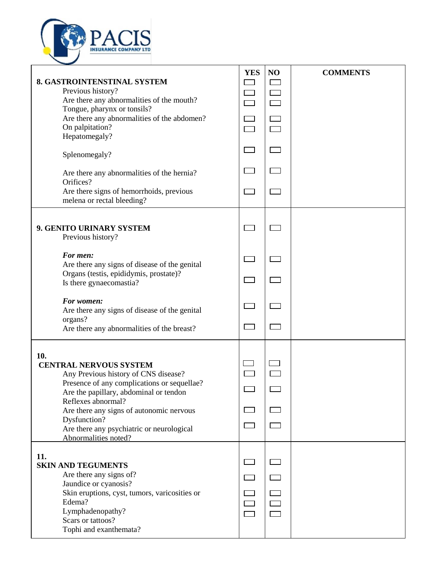

| 8. GASTROINTENSTINAL SYSTEM<br>Previous history?<br>Are there any abnormalities of the mouth?<br>Tongue, pharynx or tonsils?<br>Are there any abnormalities of the abdomen?<br>On palpitation?<br>Hepatomegaly?<br>Splenomegaly?<br>Are there any abnormalities of the hernia?<br>Orifices?<br>Are there signs of hemorrhoids, previous<br>melena or rectal bleeding? | <b>YES</b> | NO | <b>COMMENTS</b> |
|-----------------------------------------------------------------------------------------------------------------------------------------------------------------------------------------------------------------------------------------------------------------------------------------------------------------------------------------------------------------------|------------|----|-----------------|
| 9. GENITO URINARY SYSTEM<br>Previous history?                                                                                                                                                                                                                                                                                                                         |            |    |                 |
| For men:<br>Are there any signs of disease of the genital                                                                                                                                                                                                                                                                                                             |            |    |                 |
| Organs (testis, epididymis, prostate)?<br>Is there gynaecomastia?                                                                                                                                                                                                                                                                                                     |            |    |                 |
| For women:<br>Are there any signs of disease of the genital                                                                                                                                                                                                                                                                                                           |            |    |                 |
| organs?<br>Are there any abnormalities of the breast?                                                                                                                                                                                                                                                                                                                 |            |    |                 |
| 10.<br><b>CENTRAL NERVOUS SYSTEM</b><br>Any Previous history of CNS disease?<br>Presence of any complications or sequellae?<br>Are the papillary, abdominal or tendon<br>Reflexes abnormal?<br>Are there any signs of autonomic nervous<br>Dysfunction?<br>Are there any psychiatric or neurological<br>Abnormalities noted?                                          |            |    |                 |
| 11.<br><b>SKIN AND TEGUMENTS</b><br>Are there any signs of?<br>Jaundice or cyanosis?<br>Skin eruptions, cyst, tumors, varicosities or<br>Edema?<br>Lymphadenopathy?<br>Scars or tattoos?<br>Tophi and exanthemata?                                                                                                                                                    |            |    |                 |